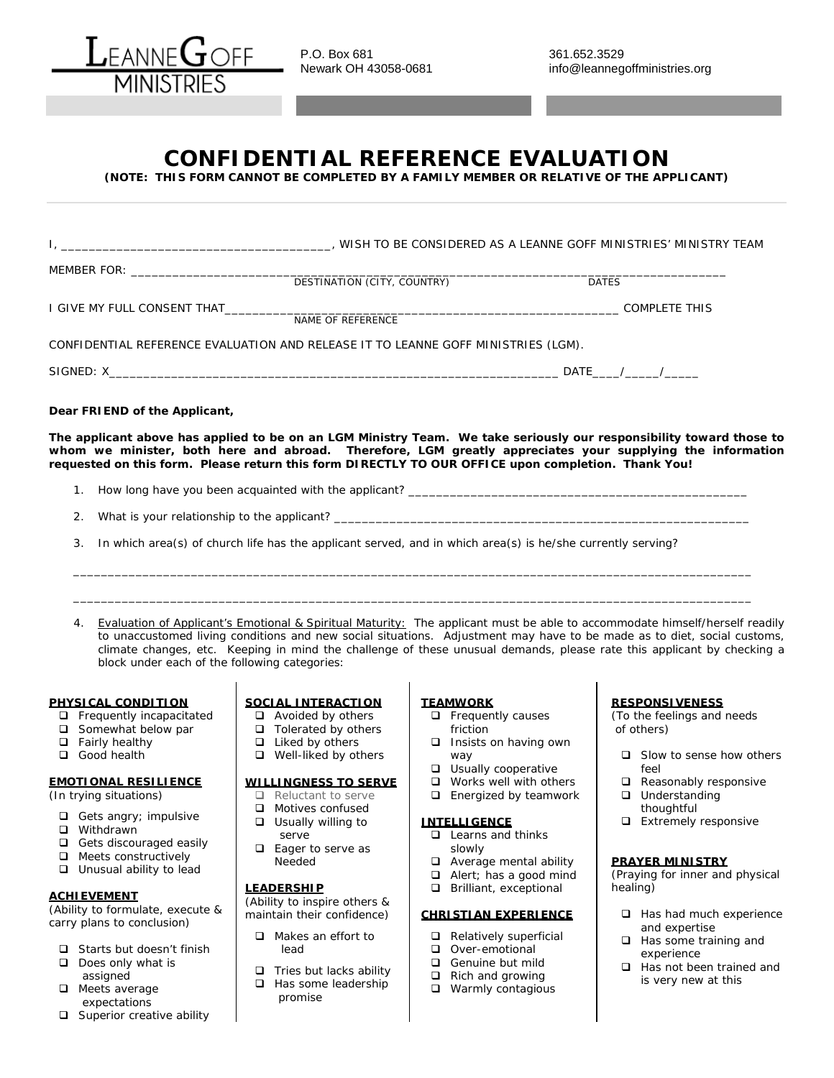

P.O. Box 681 361.652.3529<br>Newark OH 43058-0681 361.652.3529

## **CONFIDENTIAL REFERENCE EVALUATION**

**(NOTE: THIS FORM CANNOT BE COMPLETED BY A FAMILY MEMBER OR RELATIVE OF THE APPLICANT)**

|                                                                                   | DESTINATION (CITY, COUNTRY)                              |                                                                                                             | <b>DATES</b>                                                                                                                                                                                                                                                                                                                                                                        |  |
|-----------------------------------------------------------------------------------|----------------------------------------------------------|-------------------------------------------------------------------------------------------------------------|-------------------------------------------------------------------------------------------------------------------------------------------------------------------------------------------------------------------------------------------------------------------------------------------------------------------------------------------------------------------------------------|--|
|                                                                                   |                                                          | COMPLETE THIS                                                                                               |                                                                                                                                                                                                                                                                                                                                                                                     |  |
|                                                                                   | NAME OF REFERENCE                                        |                                                                                                             |                                                                                                                                                                                                                                                                                                                                                                                     |  |
| CONFIDENTIAL REFERENCE EVALUATION AND RELEASE IT TO LEANNE GOFF MINISTRIES (LGM). |                                                          |                                                                                                             |                                                                                                                                                                                                                                                                                                                                                                                     |  |
|                                                                                   |                                                          |                                                                                                             |                                                                                                                                                                                                                                                                                                                                                                                     |  |
| Dear FRIEND of the Applicant,                                                     |                                                          |                                                                                                             |                                                                                                                                                                                                                                                                                                                                                                                     |  |
|                                                                                   |                                                          | requested on this form. Please return this form DIRECTLY TO OUR OFFICE upon completion. Thank You!          | The applicant above has applied to be on an LGM Ministry Team. We take seriously our responsibility toward those to<br>whom we minister, both here and abroad. Therefore, LGM greatly appreciates your supplying the information                                                                                                                                                    |  |
|                                                                                   |                                                          |                                                                                                             |                                                                                                                                                                                                                                                                                                                                                                                     |  |
|                                                                                   |                                                          |                                                                                                             |                                                                                                                                                                                                                                                                                                                                                                                     |  |
| 3.                                                                                |                                                          | In which area(s) of church life has the applicant served, and in which area(s) is he/she currently serving? |                                                                                                                                                                                                                                                                                                                                                                                     |  |
|                                                                                   |                                                          |                                                                                                             |                                                                                                                                                                                                                                                                                                                                                                                     |  |
|                                                                                   |                                                          |                                                                                                             |                                                                                                                                                                                                                                                                                                                                                                                     |  |
| block under each of the following categories:                                     |                                                          |                                                                                                             | 4. Evaluation of Applicant's Emotional & Spiritual Maturity: The applicant must be able to accommodate himself/herself readily<br>to unaccustomed living conditions and new social situations. Adjustment may have to be made as to diet, social customs,<br>climate changes, etc. Keeping in mind the challenge of these unusual demands, please rate this applicant by checking a |  |
| PHYSICAL CONDITION                                                                | SOCIAL INTERACTION                                       | <b>TEAMWORK</b>                                                                                             | <b>RESPONSIVENESS</b>                                                                                                                                                                                                                                                                                                                                                               |  |
| $\Box$ Frequently incapacitated                                                   | $\Box$ Avoided by others                                 | $\Box$ Frequently causes                                                                                    | (To the feelings and needs                                                                                                                                                                                                                                                                                                                                                          |  |
| $\Box$ Somewhat below par<br>$\Box$ Fairly healthy                                | $\Box$ Tolerated by others<br>$\Box$ Liked by others     | friction<br>Insists on having own                                                                           | of others)                                                                                                                                                                                                                                                                                                                                                                          |  |
| Good health                                                                       | $\Box$ Well-liked by others                              | way                                                                                                         | $\Box$ Slow to sense how others                                                                                                                                                                                                                                                                                                                                                     |  |
| <b>EMOTIONAL RESILIENCE</b><br>(In trying situations)                             | <b>WILLINGNESS TO SERVE</b><br>$\Box$ Reluctant to serve | <b>u</b> Usually cooperative<br>$\Box$ Works well with others<br>$\Box$ Energized by teamwork               | feel<br>$\Box$ Reasonably responsive<br>$\Box$ Understanding                                                                                                                                                                                                                                                                                                                        |  |
| $\Box$ Gets angry; impulsive                                                      | $\Box$ Motives confused<br>$\Box$ Usually willing to     | <b>INTELLIGENCE</b>                                                                                         | thoughtful<br>$\Box$ Extremely responsive                                                                                                                                                                                                                                                                                                                                           |  |
| $\Box$ Withdrawn<br>$\Box$ Gets discouraged easily                                | serve                                                    | $\Box$ Learns and thinks                                                                                    |                                                                                                                                                                                                                                                                                                                                                                                     |  |
| $\Box$ Meets constructively                                                       | $\Box$ Eager to serve as<br>Needed                       | slowly<br>Average mental ability                                                                            | <b>PRAYER MINISTRY</b>                                                                                                                                                                                                                                                                                                                                                              |  |
| $\Box$ Unusual ability to lead                                                    |                                                          | Alert; has a good mind<br>$\Box$                                                                            | (Praying for inner and physical                                                                                                                                                                                                                                                                                                                                                     |  |
| <b>ACHIEVEMENT</b>                                                                | <u>LEADERSHIP</u><br>(Ability to inspire others &        | Brilliant, exceptional<br>$\Box$                                                                            | healing)                                                                                                                                                                                                                                                                                                                                                                            |  |
| (Ability to formulate, execute &                                                  | maintain their confidence)                               | <b>CHRISTIAN EXPERIENCE</b>                                                                                 | $\Box$ Has had much experience                                                                                                                                                                                                                                                                                                                                                      |  |
| carry plans to conclusion)                                                        | $\Box$ Makes an effort to                                | $\Box$ Relatively superficial                                                                               | and expertise<br>$\Box$ Has some training and                                                                                                                                                                                                                                                                                                                                       |  |
| Starts but doesn't finish                                                         | lead                                                     | Over-emotional                                                                                              | avnarianca                                                                                                                                                                                                                                                                                                                                                                          |  |

- Does only what is assigned
- **Q** Meets average expectations
- **Q** Superior creative ability
- $\Box$  Tries but lacks ability
- $\Box$  Has some leadership promise
- 
- Genuine but mild
- $\Box$  Rich and growing
- **Q** Warmly contagious
- experience
- $\Box$  Has not been trained and is very new at this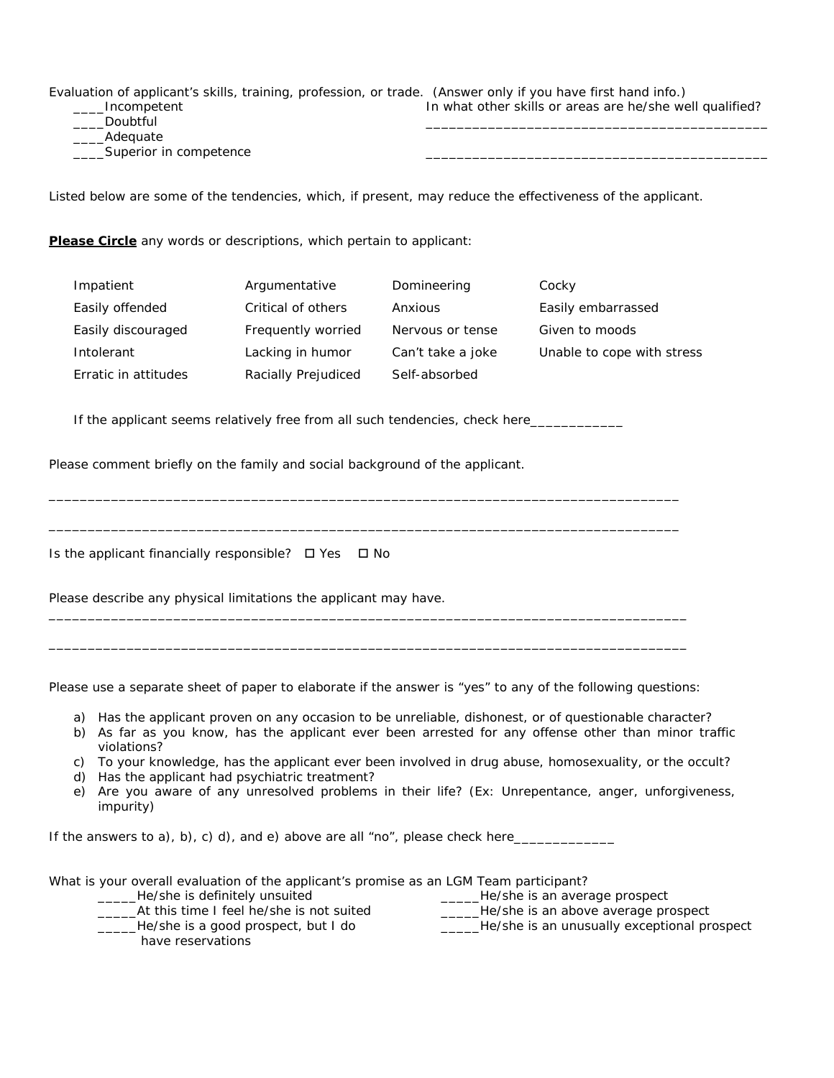| Evaluation of applicant's skills, training, profession, or trade. (Answer only if you have first hand info.) |                                                          |
|--------------------------------------------------------------------------------------------------------------|----------------------------------------------------------|
| _____Incompetent                                                                                             | In what other skills or areas are he/she well qualified? |
| Doubtful                                                                                                     |                                                          |
| Adequate                                                                                                     |                                                          |
| ____Superior in competence                                                                                   |                                                          |

Listed below are some of the tendencies, which, if present, may reduce the effectiveness of the applicant.

**Please Circle** any words or descriptions, which pertain to applicant:

| Impatient            | Argumentative       | Domineering       | Cocky                      |
|----------------------|---------------------|-------------------|----------------------------|
| Easily offended      | Critical of others  | Anxious           | Easily embarrassed         |
| Easily discouraged   | Frequently worried  | Nervous or tense  | Given to moods             |
| Intolerant           | Lacking in humor    | Can't take a joke | Unable to cope with stress |
| Erratic in attitudes | Racially Prejudiced | Self-absorbed     |                            |

If the applicant seems relatively free from all such tendencies, check here\_\_\_\_\_\_\_

\_\_\_\_\_\_\_\_\_\_\_\_\_\_\_\_\_\_\_\_\_\_\_\_\_\_\_\_\_\_\_\_\_\_\_\_\_\_\_\_\_\_\_\_\_\_\_\_\_\_\_\_\_\_\_\_\_\_\_\_\_\_\_\_\_\_\_\_\_\_\_\_\_\_\_\_\_\_\_\_\_

\_\_\_\_\_\_\_\_\_\_\_\_\_\_\_\_\_\_\_\_\_\_\_\_\_\_\_\_\_\_\_\_\_\_\_\_\_\_\_\_\_\_\_\_\_\_\_\_\_\_\_\_\_\_\_\_\_\_\_\_\_\_\_\_\_\_\_\_\_\_\_\_\_\_\_\_\_\_\_\_\_

Please comment briefly on the family and social background of the applicant.

Is the applicant financially responsible?  $\Box$  Yes  $\Box$  No

Please describe any physical limitations the applicant may have.

Please use a separate sheet of paper to elaborate if the answer is "yes" to any of the following questions:

\_\_\_\_\_\_\_\_\_\_\_\_\_\_\_\_\_\_\_\_\_\_\_\_\_\_\_\_\_\_\_\_\_\_\_\_\_\_\_\_\_\_\_\_\_\_\_\_\_\_\_\_\_\_\_\_\_\_\_\_\_\_\_\_\_\_\_\_\_\_\_\_\_\_\_\_\_\_\_\_\_\_

\_\_\_\_\_\_\_\_\_\_\_\_\_\_\_\_\_\_\_\_\_\_\_\_\_\_\_\_\_\_\_\_\_\_\_\_\_\_\_\_\_\_\_\_\_\_\_\_\_\_\_\_\_\_\_\_\_\_\_\_\_\_\_\_\_\_\_\_\_\_\_\_\_\_\_\_\_\_\_\_\_\_

- a) Has the applicant proven on any occasion to be unreliable, dishonest, or of questionable character?
- b) As far as you know, has the applicant ever been arrested for any offense other than minor traffic violations?
- c) To your knowledge, has the applicant ever been involved in drug abuse, homosexuality, or the occult?
- d) Has the applicant had psychiatric treatment?
- e) Are you aware of any unresolved problems in their life? (Ex: Unrepentance, anger, unforgiveness, impurity)

If the answers to a), b), c) d), and e) above are all "no", please check here $\_\_$ 

What is your overall evaluation of the applicant's promise as an LGM Team participant? \_\_\_\_\_He/she is definitely unsuited \_\_\_\_\_At this time I feel he/she is not suited \_\_\_\_\_He/she is a good prospect, but I do \_\_\_\_\_He/she is an average prospect **\_\_\_\_\_He/she is an above average prospect \_\_\_\_He/she is an unusually exceptional prospect** have reservations